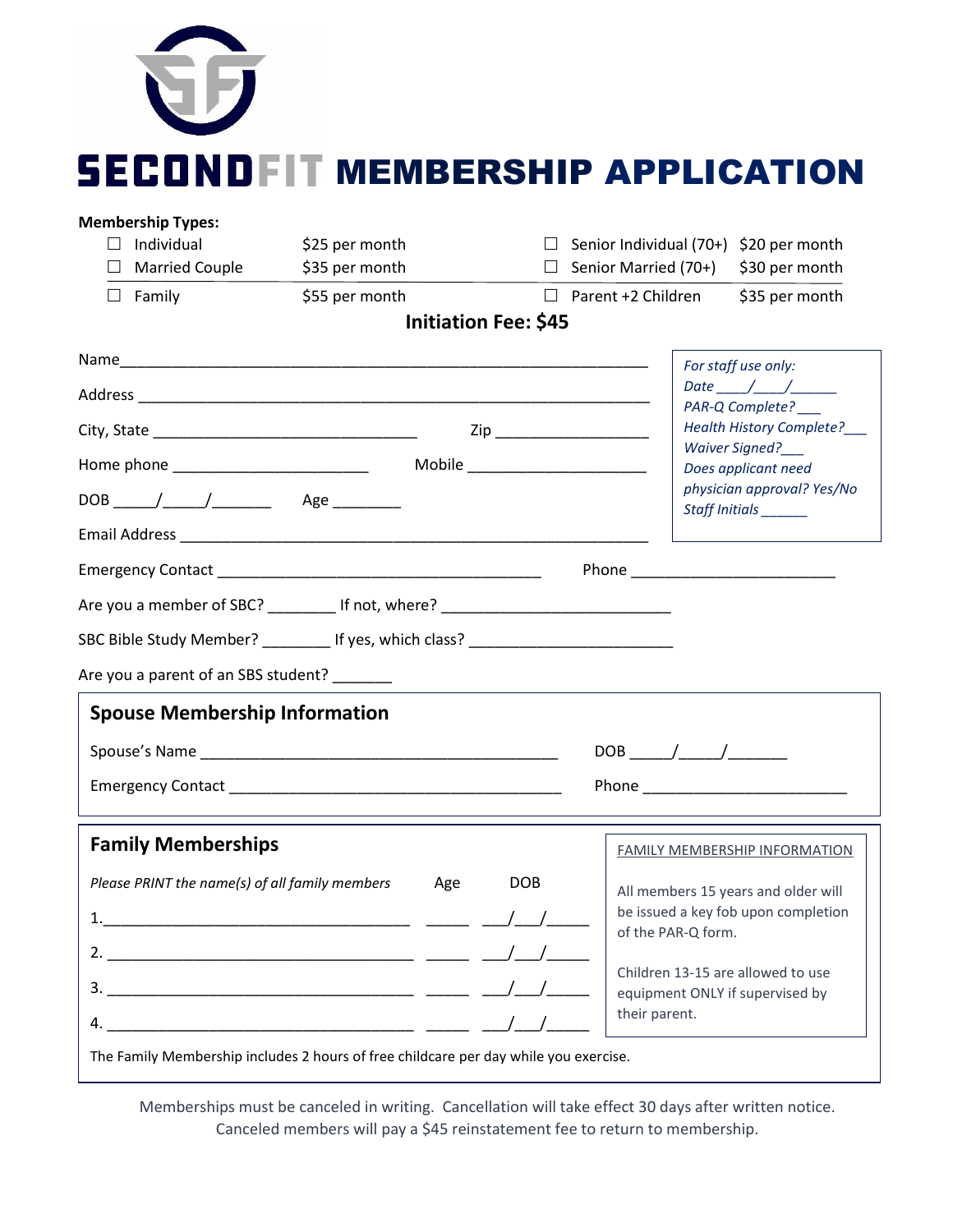

| <b>Membership Types:</b>                                                                                                 |                                                                                      |                             |                                                                                                                      |                                                   |  |
|--------------------------------------------------------------------------------------------------------------------------|--------------------------------------------------------------------------------------|-----------------------------|----------------------------------------------------------------------------------------------------------------------|---------------------------------------------------|--|
| Individual<br>$\perp$                                                                                                    | \$25 per month                                                                       |                             | $\Box$ Senior Individual (70+) \$20 per month                                                                        |                                                   |  |
| $\Box$ Married Couple                                                                                                    | \$35 per month                                                                       |                             | $\Box$ Senior Married (70+)                                                                                          | \$30 per month                                    |  |
| $\Box$ Family                                                                                                            | \$55 per month                                                                       |                             | $\Box$ Parent +2 Children                                                                                            | \$35 per month                                    |  |
|                                                                                                                          |                                                                                      | <b>Initiation Fee: \$45</b> |                                                                                                                      |                                                   |  |
|                                                                                                                          |                                                                                      |                             |                                                                                                                      | For staff use only:                               |  |
|                                                                                                                          |                                                                                      |                             |                                                                                                                      | Date $\_\_\_\_\_\_\_\_\_\_\_\_\_\_\_\_\_\_\_\_\_$ |  |
|                                                                                                                          |                                                                                      | Zip _____________________   |                                                                                                                      | PAR-Q Complete?<br>Health History Complete?__     |  |
|                                                                                                                          |                                                                                      |                             |                                                                                                                      | Waiver Signed?                                    |  |
|                                                                                                                          |                                                                                      |                             | Does applicant need<br>physician approval? Yes/No                                                                    |                                                   |  |
|                                                                                                                          |                                                                                      |                             |                                                                                                                      | Staff Initials                                    |  |
|                                                                                                                          |                                                                                      |                             |                                                                                                                      |                                                   |  |
|                                                                                                                          |                                                                                      |                             |                                                                                                                      |                                                   |  |
|                                                                                                                          | Are you a member of SBC? _________ If not, where? ______________________________     |                             |                                                                                                                      |                                                   |  |
|                                                                                                                          |                                                                                      |                             |                                                                                                                      |                                                   |  |
|                                                                                                                          | SBC Bible Study Member? __________ If yes, which class? ________________________     |                             |                                                                                                                      |                                                   |  |
| Are you a parent of an SBS student? _______                                                                              |                                                                                      |                             | <u> 1980 - Jan Barbara Barbara, manazarta da kasas da kasas da kasas da kasas da kasas da kasas da kasas da kasa</u> |                                                   |  |
| <b>Spouse Membership Information</b>                                                                                     |                                                                                      |                             |                                                                                                                      |                                                   |  |
|                                                                                                                          |                                                                                      |                             |                                                                                                                      |                                                   |  |
|                                                                                                                          |                                                                                      |                             |                                                                                                                      |                                                   |  |
|                                                                                                                          |                                                                                      |                             |                                                                                                                      |                                                   |  |
| <b>Family Memberships</b>                                                                                                |                                                                                      |                             |                                                                                                                      | <b>FAMILY MEMBERSHIP INFORMATION</b>              |  |
| Please PRINT the name(s) of all family members<br><b>DOB</b><br>Age                                                      |                                                                                      |                             |                                                                                                                      |                                                   |  |
|                                                                                                                          |                                                                                      |                             | All members 15 years and older will<br>be issued a key fob upon completion                                           |                                                   |  |
|                                                                                                                          |                                                                                      |                             | of the PAR-Q form.                                                                                                   |                                                   |  |
|                                                                                                                          |                                                                                      |                             |                                                                                                                      |                                                   |  |
|                                                                                                                          |                                                                                      |                             | Children 13-15 are allowed to use<br>equipment ONLY if supervised by                                                 |                                                   |  |
| 4.<br><u> 1989 - Johann John Harry, mars eta bat eta bat eta bat eta bat ez arteko harta zen bat ez arteko harta zen</u> |                                                                                      |                             | their parent.                                                                                                        |                                                   |  |
|                                                                                                                          | The Family Membership includes 2 hours of free childcare per day while you exercise. |                             |                                                                                                                      |                                                   |  |

Memberships must be canceled in writing. Cancellation will take effect 30 days after written notice. Canceled members will pay a \$45 reinstatement fee to return to membership.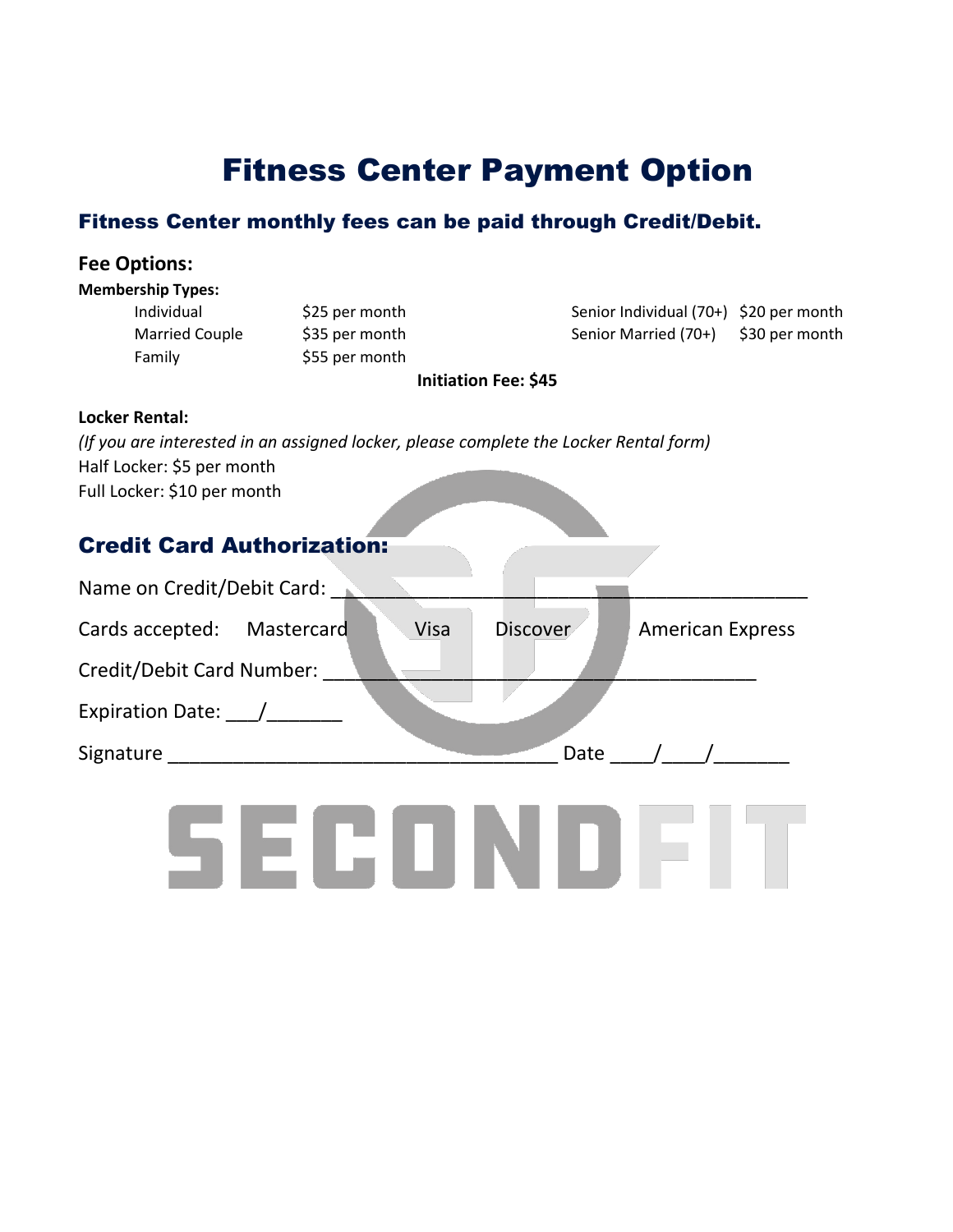## Fitness Center Payment Option

### Fitness Center monthly fees can be paid through Credit/Debit.

## **Fee Options: Membership Types:** Individual \$25 per month Senior Individual (70+) \$20 per month Married Couple \$35 per month Senior Married (70+) \$30 per month Family \$55 per month **Initiation Fee: \$45 Locker Rental:** *(If you are interested in an assigned locker, please complete the Locker Rental form)* Half Locker: \$5 per month Full Locker: \$10 per month Credit Card Authorization: Name on Credit/Debit Card: Cards accepted: Mastercard Visa Discover American Express Credit/Debit Card Number: Expiration Date: / Signature Date  $\overline{\phantom{a}}$  Date  $\overline{\phantom{a}}$ SECONDEIT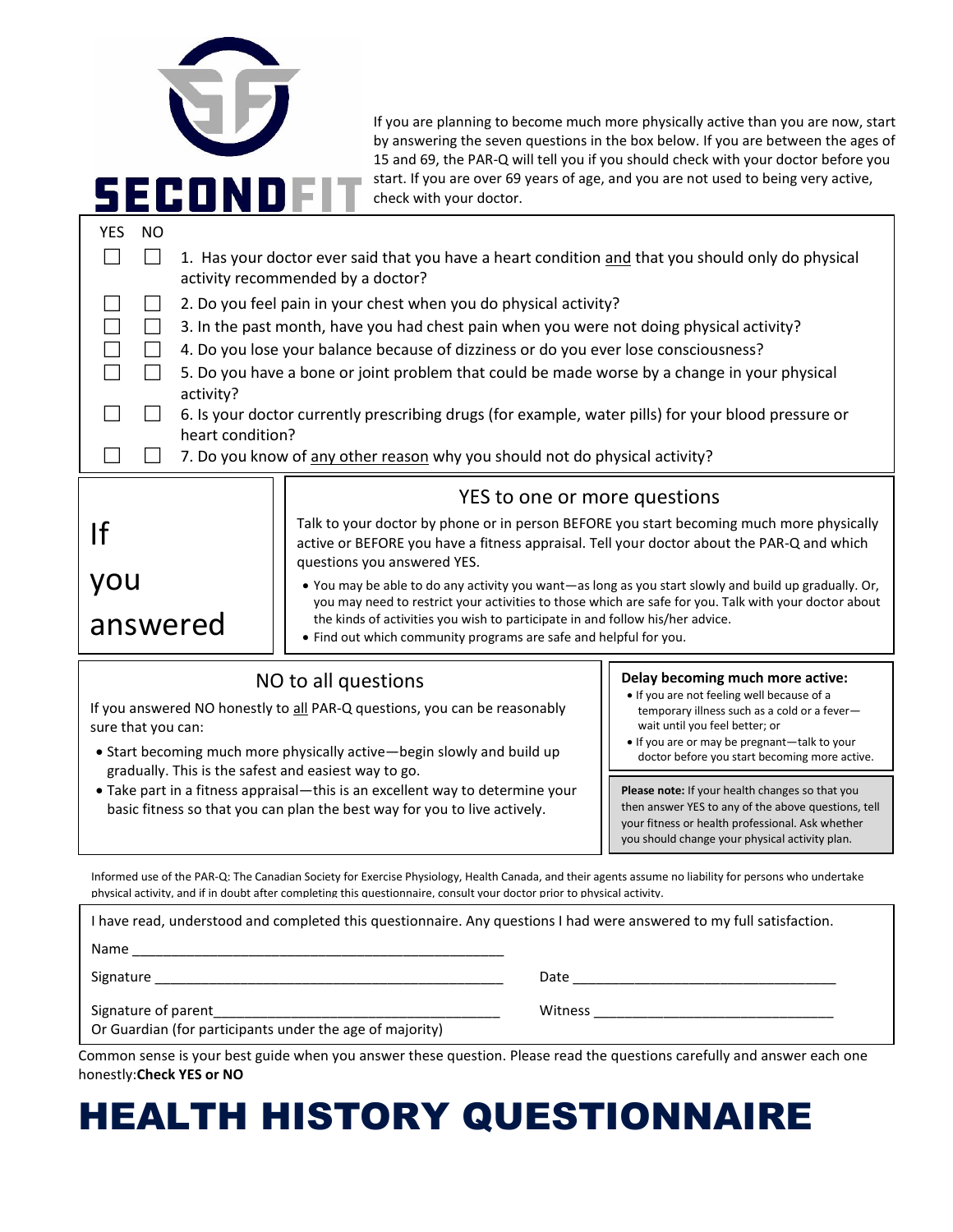| SECONI                                               | check with your doctor.                                                                                                                                                                                                                                                                                                                                              | If you are planning to become much more physically active than you are now, start<br>by answering the seven questions in the box below. If you are between the ages of<br>15 and 69, the PAR-Q will tell you if you should check with your doctor before you<br>start. If you are over 69 years of age, and you are not used to being very active, |  |  |  |
|------------------------------------------------------|----------------------------------------------------------------------------------------------------------------------------------------------------------------------------------------------------------------------------------------------------------------------------------------------------------------------------------------------------------------------|----------------------------------------------------------------------------------------------------------------------------------------------------------------------------------------------------------------------------------------------------------------------------------------------------------------------------------------------------|--|--|--|
| <b>YES</b>                                           | <b>NO</b><br>1. Has your doctor ever said that you have a heart condition and that you should only do physical<br>activity recommended by a doctor?                                                                                                                                                                                                                  |                                                                                                                                                                                                                                                                                                                                                    |  |  |  |
|                                                      | 2. Do you feel pain in your chest when you do physical activity?                                                                                                                                                                                                                                                                                                     |                                                                                                                                                                                                                                                                                                                                                    |  |  |  |
|                                                      | 3. In the past month, have you had chest pain when you were not doing physical activity?                                                                                                                                                                                                                                                                             |                                                                                                                                                                                                                                                                                                                                                    |  |  |  |
|                                                      | 4. Do you lose your balance because of dizziness or do you ever lose consciousness?                                                                                                                                                                                                                                                                                  |                                                                                                                                                                                                                                                                                                                                                    |  |  |  |
| $\Box$<br>activity?                                  | 5. Do you have a bone or joint problem that could be made worse by a change in your physical                                                                                                                                                                                                                                                                         |                                                                                                                                                                                                                                                                                                                                                    |  |  |  |
|                                                      | 6. Is your doctor currently prescribing drugs (for example, water pills) for your blood pressure or                                                                                                                                                                                                                                                                  |                                                                                                                                                                                                                                                                                                                                                    |  |  |  |
| heart condition?                                     |                                                                                                                                                                                                                                                                                                                                                                      |                                                                                                                                                                                                                                                                                                                                                    |  |  |  |
|                                                      | 7. Do you know of any other reason why you should not do physical activity?                                                                                                                                                                                                                                                                                          |                                                                                                                                                                                                                                                                                                                                                    |  |  |  |
|                                                      | YES to one or more questions                                                                                                                                                                                                                                                                                                                                         |                                                                                                                                                                                                                                                                                                                                                    |  |  |  |
| If                                                   | Talk to your doctor by phone or in person BEFORE you start becoming much more physically<br>active or BEFORE you have a fitness appraisal. Tell your doctor about the PAR-Q and which<br>questions you answered YES.                                                                                                                                                 |                                                                                                                                                                                                                                                                                                                                                    |  |  |  |
| you                                                  | . You may be able to do any activity you want-as long as you start slowly and build up gradually. Or,<br>you may need to restrict your activities to those which are safe for you. Talk with your doctor about<br>the kinds of activities you wish to participate in and follow his/her advice.<br>• Find out which community programs are safe and helpful for you. |                                                                                                                                                                                                                                                                                                                                                    |  |  |  |
|                                                      |                                                                                                                                                                                                                                                                                                                                                                      |                                                                                                                                                                                                                                                                                                                                                    |  |  |  |
| answered                                             |                                                                                                                                                                                                                                                                                                                                                                      |                                                                                                                                                                                                                                                                                                                                                    |  |  |  |
|                                                      |                                                                                                                                                                                                                                                                                                                                                                      |                                                                                                                                                                                                                                                                                                                                                    |  |  |  |
|                                                      | NO to all questions                                                                                                                                                                                                                                                                                                                                                  | Delay becoming much more active:<br>. If you are not feeling well because of a                                                                                                                                                                                                                                                                     |  |  |  |
| sure that you can:                                   | If you answered NO honestly to all PAR-Q questions, you can be reasonably                                                                                                                                                                                                                                                                                            | temporary illness such as a cold or a fever-<br>wait until you feel better; or                                                                                                                                                                                                                                                                     |  |  |  |
|                                                      | • Start becoming much more physically active-begin slowly and build up                                                                                                                                                                                                                                                                                               | . If you are or may be pregnant-talk to your                                                                                                                                                                                                                                                                                                       |  |  |  |
|                                                      |                                                                                                                                                                                                                                                                                                                                                                      |                                                                                                                                                                                                                                                                                                                                                    |  |  |  |
| gradually. This is the safest and easiest way to go. |                                                                                                                                                                                                                                                                                                                                                                      | doctor before you start becoming more active.                                                                                                                                                                                                                                                                                                      |  |  |  |
|                                                      | • Take part in a fitness appraisal-this is an excellent way to determine your                                                                                                                                                                                                                                                                                        | Please note: If your health changes so that you                                                                                                                                                                                                                                                                                                    |  |  |  |
|                                                      | basic fitness so that you can plan the best way for you to live actively.                                                                                                                                                                                                                                                                                            | then answer YES to any of the above questions, tell<br>your fitness or health professional. Ask whether                                                                                                                                                                                                                                            |  |  |  |
|                                                      |                                                                                                                                                                                                                                                                                                                                                                      | you should change your physical activity plan.                                                                                                                                                                                                                                                                                                     |  |  |  |
|                                                      | Informed use of the PAR-Q: The Canadian Society for Exercise Physiology, Health Canada, and their agents assume no liability for persons who undertake<br>physical activity, and if in doubt after completing this questionnaire, consult your doctor prior to physical activity.                                                                                    |                                                                                                                                                                                                                                                                                                                                                    |  |  |  |
|                                                      | I have read, understood and completed this questionnaire. Any questions I had were answered to my full satisfaction.                                                                                                                                                                                                                                                 |                                                                                                                                                                                                                                                                                                                                                    |  |  |  |
|                                                      |                                                                                                                                                                                                                                                                                                                                                                      |                                                                                                                                                                                                                                                                                                                                                    |  |  |  |

Common sense is your best guide when you answer these question. Please read the questions carefully and answer each one honestly:**Check YES or NO**

# HEALTH HISTORY QUESTIONNAIRE

Signature of parent\_\_\_\_\_\_\_\_\_\_\_\_\_\_\_\_\_\_\_\_\_\_\_\_\_\_\_\_\_\_\_\_\_\_\_\_\_ Witness \_\_\_\_\_\_\_\_\_\_\_\_\_\_\_\_\_\_\_\_\_\_\_\_\_\_\_\_\_\_\_

Or Guardian (for participants under the age of majority)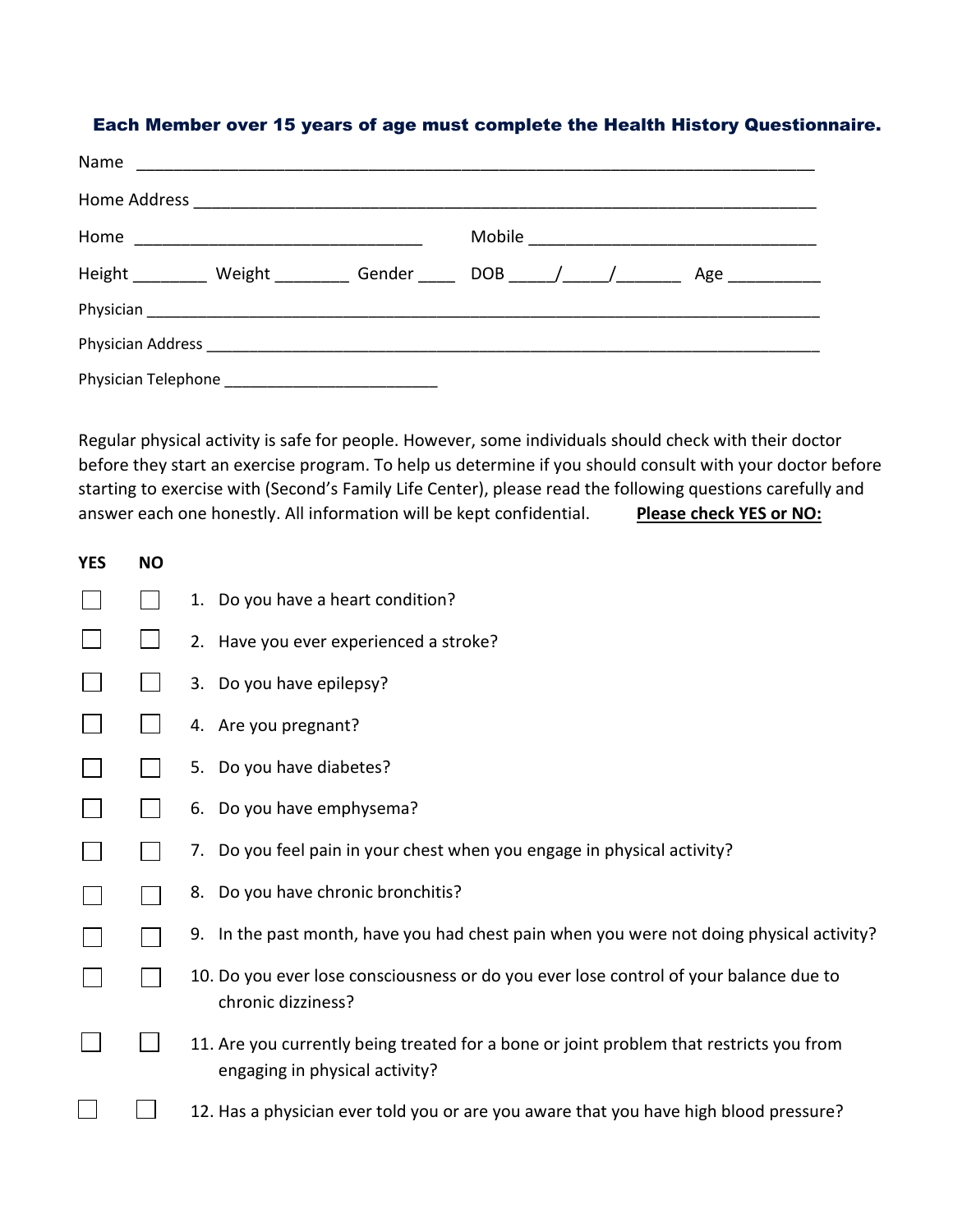### Each Member over 15 years of age must complete the Health History Questionnaire.

| Name                         |                 |  |  |  |
|------------------------------|-----------------|--|--|--|
|                              |                 |  |  |  |
|                              |                 |  |  |  |
| Height Weight Gender DOB / / | Age ___________ |  |  |  |
|                              |                 |  |  |  |
|                              |                 |  |  |  |
|                              |                 |  |  |  |

Regular physical activity is safe for people. However, some individuals should check with their doctor before they start an exercise program. To help us determine if you should consult with your doctor before starting to exercise with (Second's Family Life Center), please read the following questions carefully and answer each one honestly. All information will be kept confidential. Please check YES or NO:

| <b>YES</b> | <b>NO</b> |                                                                                                                           |
|------------|-----------|---------------------------------------------------------------------------------------------------------------------------|
|            |           | 1. Do you have a heart condition?                                                                                         |
|            |           | 2. Have you ever experienced a stroke?                                                                                    |
|            |           | 3. Do you have epilepsy?                                                                                                  |
|            |           | 4. Are you pregnant?                                                                                                      |
|            |           | 5. Do you have diabetes?                                                                                                  |
|            |           | 6. Do you have emphysema?                                                                                                 |
|            |           | 7. Do you feel pain in your chest when you engage in physical activity?                                                   |
|            |           | 8. Do you have chronic bronchitis?                                                                                        |
|            |           | 9. In the past month, have you had chest pain when you were not doing physical activity?                                  |
|            |           | 10. Do you ever lose consciousness or do you ever lose control of your balance due to<br>chronic dizziness?               |
|            |           | 11. Are you currently being treated for a bone or joint problem that restricts you from<br>engaging in physical activity? |
|            |           | 12. Has a physician ever told you or are you aware that you have high blood pressure?                                     |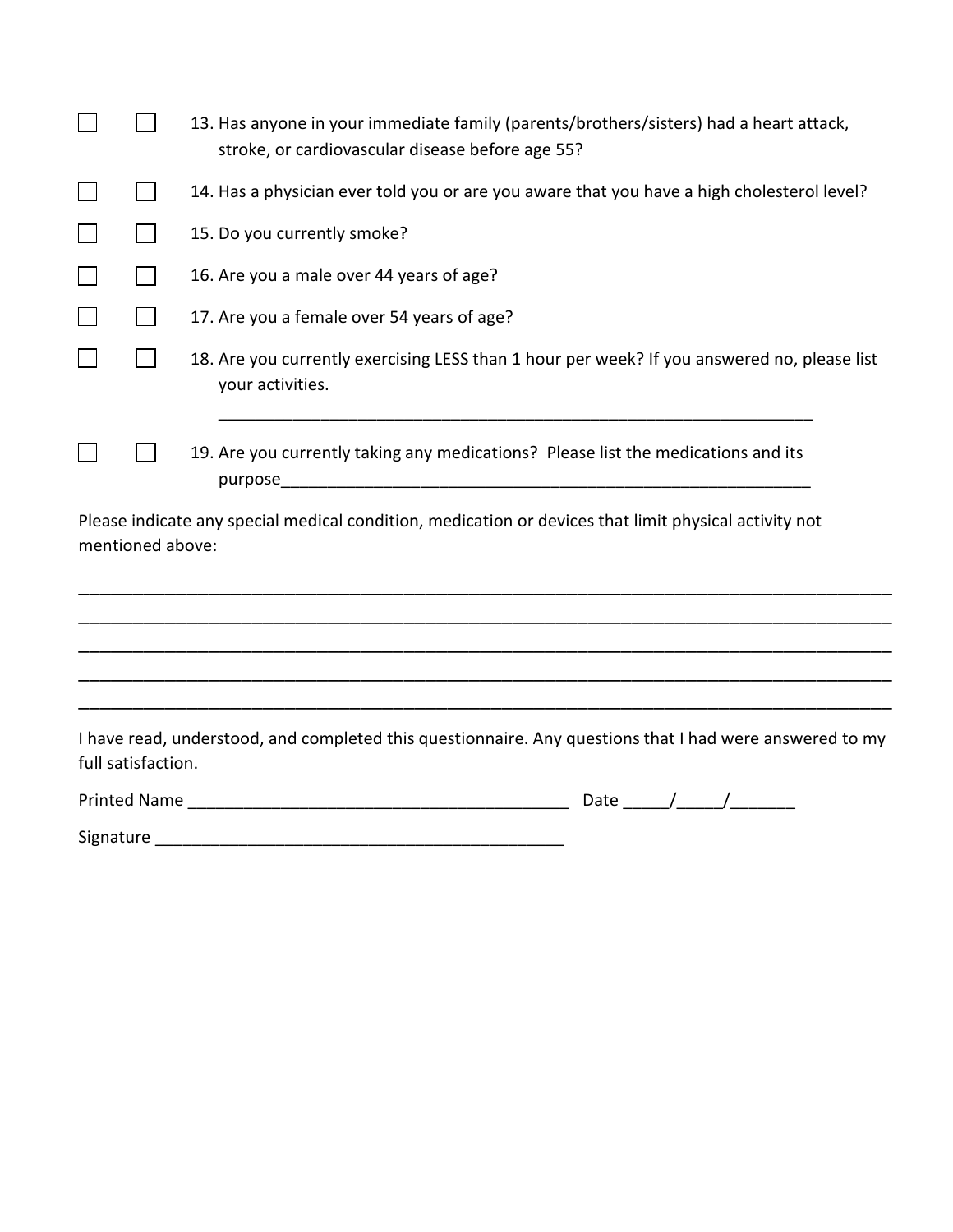|                    | 13. Has anyone in your immediate family (parents/brothers/sisters) had a heart attack,<br>stroke, or cardiovascular disease before age 55? |
|--------------------|--------------------------------------------------------------------------------------------------------------------------------------------|
|                    | 14. Has a physician ever told you or are you aware that you have a high cholesterol level?                                                 |
|                    | 15. Do you currently smoke?                                                                                                                |
|                    | 16. Are you a male over 44 years of age?                                                                                                   |
|                    | 17. Are you a female over 54 years of age?                                                                                                 |
|                    | 18. Are you currently exercising LESS than 1 hour per week? If you answered no, please list<br>your activities.                            |
|                    | 19. Are you currently taking any medications? Please list the medications and its                                                          |
| mentioned above:   | Please indicate any special medical condition, medication or devices that limit physical activity not                                      |
|                    |                                                                                                                                            |
|                    |                                                                                                                                            |
|                    |                                                                                                                                            |
| full satisfaction. | I have read, understood, and completed this questionnaire. Any questions that I had were answered to my                                    |
|                    | Date $\_\_\_\_\_\_\_\$                                                                                                                     |
|                    |                                                                                                                                            |